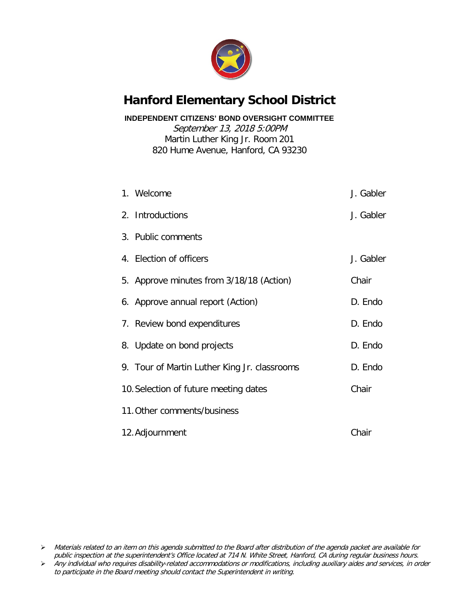

#### **Hanford Elementary School District**

**INDEPENDENT CITIZENS' BOND OVERSIGHT COMMITTEE**

September 13, 2018 5:00PM Martin Luther King Jr. Room 201 820 Hume Avenue, Hanford, CA 93230

| 1. Welcome                                   | J. Gabler |
|----------------------------------------------|-----------|
| 2. Introductions                             | J. Gabler |
| 3. Public comments                           |           |
| 4. Election of officers                      | J. Gabler |
| 5. Approve minutes from 3/18/18 (Action)     | Chair     |
| 6. Approve annual report (Action)            | D. Endo   |
| 7. Review bond expenditures                  | D. Endo   |
| 8. Update on bond projects                   | D. Endo   |
| 9. Tour of Martin Luther King Jr. classrooms | D. Endo   |
| 10. Selection of future meeting dates        | Chair     |
| 11. Other comments/business                  |           |
| 12. Adjournment                              | Chair     |

> Materials related to an item on this agenda submitted to the Board after distribution of the agenda packet are available for public inspection at the superintendent's Office located at 714 N. White Street, Hanford, CA during regular business hours.

Any individual who requires disability-related accommodations or modifications, including auxiliary aides and services, in order to participate in the Board meeting should contact the Superintendent in writing.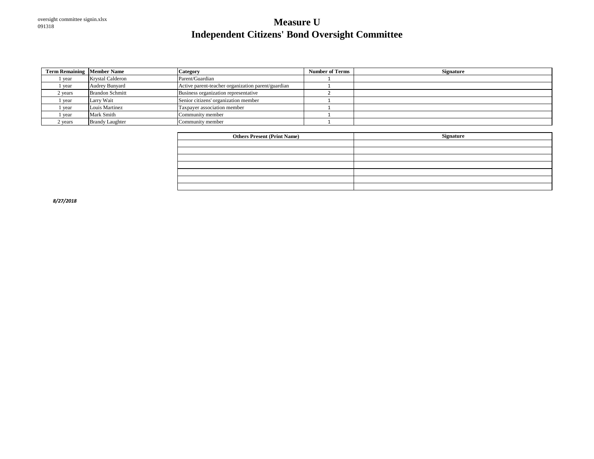#### oversight committee signin.xlsx <sup>091318</sup> **Measure U Independent Citizens' Bond Oversight Committee**

| <b>Term Remaining Member Name</b> |                        | <b>Category</b>                                    | <b>Number of Terms</b> | <b>Signature</b> |
|-----------------------------------|------------------------|----------------------------------------------------|------------------------|------------------|
| vear                              | Krystal Calderon       | Parent/Guardian                                    |                        |                  |
| vear                              | <b>Audrey Bunyard</b>  | Active parent-teacher organization parent/guardian |                        |                  |
| 2 vears                           | <b>Brandon Schmitt</b> | Business organization representative               |                        |                  |
| year                              | Larry Wait             | Senior citizens' organization member               |                        |                  |
| vear                              | Louis Martinez         | Taxpayer association member                        |                        |                  |
| vear                              | Mark Smith             | Community member                                   |                        |                  |
| 2 years                           | <b>Brandy Laughter</b> | Community member                                   |                        |                  |

| <b>Others Present (Print Name)</b> | <b>Signature</b> |
|------------------------------------|------------------|
|                                    |                  |
|                                    |                  |
|                                    |                  |
|                                    |                  |
|                                    |                  |
|                                    |                  |
|                                    |                  |

*8/27/2018*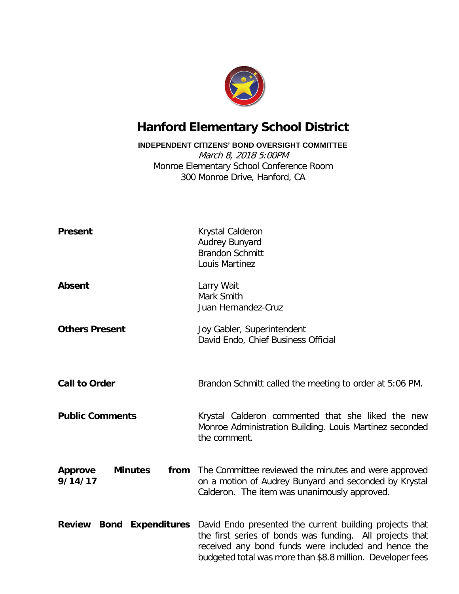

#### **Hanford Elementary School District**

**INDEPENDENT CITIZENS' BOND OVERSIGHT COMMITTEE**

March 8, 2018 5:00PM Monroe Elementary School Conference Room 300 Monroe Drive, Hanford, CA

| <b>Present</b>                              | Krystal Calderon<br><b>Audrey Bunyard</b><br><b>Brandon Schmitt</b><br>Louis Martinez                                                                                                                                                    |  |  |  |  |  |
|---------------------------------------------|------------------------------------------------------------------------------------------------------------------------------------------------------------------------------------------------------------------------------------------|--|--|--|--|--|
| <b>Absent</b>                               | Larry Wait<br>Mark Smith<br>Juan Hernandez-Cruz                                                                                                                                                                                          |  |  |  |  |  |
| <b>Others Present</b>                       | Joy Gabler, Superintendent<br>David Endo, Chief Business Official                                                                                                                                                                        |  |  |  |  |  |
| <b>Call to Order</b>                        | Brandon Schmitt called the meeting to order at 5:06 PM.                                                                                                                                                                                  |  |  |  |  |  |
| <b>Public Comments</b>                      | Krystal Calderon commented that she liked the new<br>Monroe Administration Building. Louis Martinez seconded<br>the comment.                                                                                                             |  |  |  |  |  |
| <b>Minutes</b><br><b>Approve</b><br>9/14/17 | <b>from</b> The Committee reviewed the minutes and were approved<br>on a motion of Audrey Bunyard and seconded by Krystal<br>Calderon. The item was unanimously approved.                                                                |  |  |  |  |  |
| <b>Review Bond Expenditures</b>             | David Endo presented the current building projects that<br>the first series of bonds was funding. All projects that<br>received any bond funds were included and hence the<br>budgeted total was more than \$8.8 million. Developer fees |  |  |  |  |  |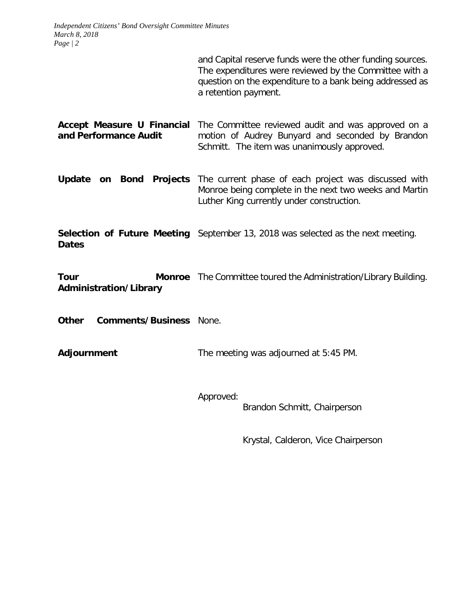and Capital reserve funds were the other funding sources. The expenditures were reviewed by the Committee with a question on the expenditure to a bank being addressed as a retention payment.

**Accept Measure U Financial**  The Committee reviewed audit and was approved on a **and Performance Audit** motion of Audrey Bunyard and seconded by Brandon Schmitt. The item was unanimously approved.

**Update on Bond Projects** The current phase of each project was discussed with Monroe being complete in the next two weeks and Martin Luther King currently under construction.

**Selection of Future Meeting** September 13, 2018 was selected as the next meeting. **Dates**

**Tour Monroe** The Committee toured the Administration/Library Building. **Administration/Library**

**Other Comments/Business** None.

**Adjournment** The meeting was adjourned at 5:45 PM.

Approved:

Brandon Schmitt, Chairperson

Krystal, Calderon, Vice Chairperson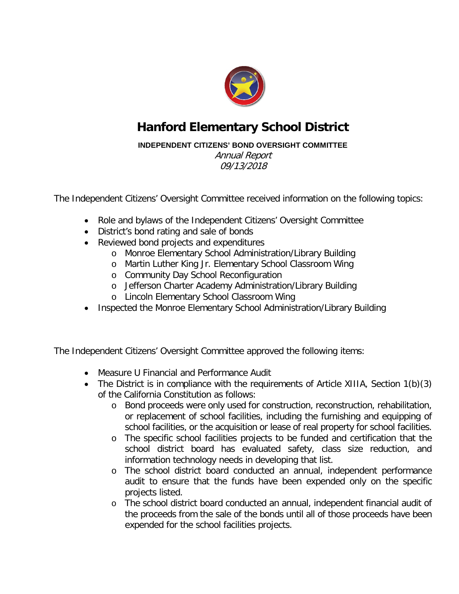

#### **Hanford Elementary School District**

#### **INDEPENDENT CITIZENS' BOND OVERSIGHT COMMITTEE**

Annual Report 09/13/2018

The Independent Citizens' Oversight Committee received information on the following topics:

- Role and bylaws of the Independent Citizens' Oversight Committee
- District's bond rating and sale of bonds
- Reviewed bond projects and expenditures
	- o Monroe Elementary School Administration/Library Building
	- o Martin Luther King Jr. Elementary School Classroom Wing
	- o Community Day School Reconfiguration
	- o Jefferson Charter Academy Administration/Library Building
	- o Lincoln Elementary School Classroom Wing
- Inspected the Monroe Elementary School Administration/Library Building

The Independent Citizens' Oversight Committee approved the following items:

- Measure U Financial and Performance Audit
- The District is in compliance with the requirements of Article XIIIA, Section 1(b)(3) of the California Constitution as follows:
	- o Bond proceeds were only used for construction, reconstruction, rehabilitation, or replacement of school facilities, including the furnishing and equipping of school facilities, or the acquisition or lease of real property for school facilities.
	- o The specific school facilities projects to be funded and certification that the school district board has evaluated safety, class size reduction, and information technology needs in developing that list.
	- o The school district board conducted an annual, independent performance audit to ensure that the funds have been expended only on the specific projects listed.
	- o The school district board conducted an annual, independent financial audit of the proceeds from the sale of the bonds until all of those proceeds have been expended for the school facilities projects.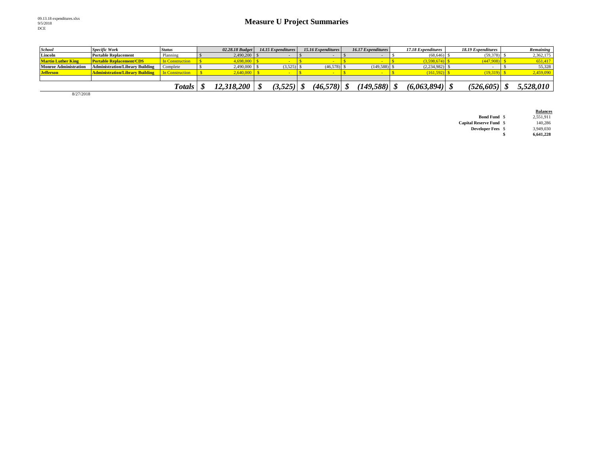| <b>School</b>                | <b>Specific Work</b>                   | <b>Status</b>          | 02.28.18 Budget | 14.15 Expenditures | 15.16 Expenditures | <b>16.17 Expenditures</b> | 17.18 Expenditures | 18.19 Expenditures | Remaining |
|------------------------------|----------------------------------------|------------------------|-----------------|--------------------|--------------------|---------------------------|--------------------|--------------------|-----------|
| Lincoln                      | <b>Portable Replacement</b>            | Planning               | 2.490,200       |                    |                    |                           | (68, 646)          | (59,378)           | 2,362,175 |
| <b>Martin Luther King</b>    | <b>Portable Replacement/CDS</b>        | <b>In Construction</b> | 4,698,000       |                    |                    |                           | (3,598,674)        | 447,908)           | 651,417   |
| <b>Monroe Administration</b> | <b>Administration/Library Building</b> | Complete               | 2,490,000       | $(3,525)$ \$       | $(46,578)$ \$      | $(149,588)$ \$            | (2,234,982)        |                    | 55,328    |
| <b>Jefferson</b>             | <b>Administration/Library Building</b> | In Construction        | .640.000        |                    |                    |                           | (161, 592)         | (19, 319)          | 2,459,090 |
|                              |                                        |                        |                 |                    |                    |                           |                    |                    |           |
|                              |                                        | <b>Totals</b>          | 12,318,200      | 3,525              | $(46,578)$ \,      | (149, 588)                | (6,063,894)        | (526, 605)         | 5,528,010 |

8/27/2018

|                                |   | <b>Balances</b> |
|--------------------------------|---|-----------------|
| <b>Bond Fund</b> \$            |   | 2.551.911       |
| <b>Capital Reserve Fund \$</b> |   | 140.286         |
| <b>Developer Fees</b> \$       |   | 3.949.030       |
|                                | S | 6.641.228       |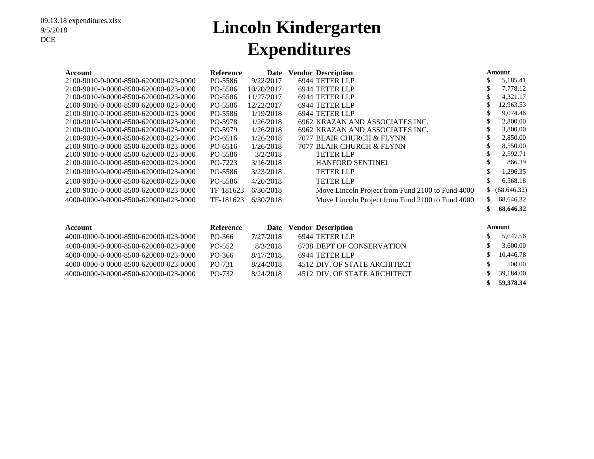## **Lincoln Kindergarten Expenditures**

| Account                               | <b>Reference</b> | Date       | <b>Vendor Description</b>                        |     | Amount       |
|---------------------------------------|------------------|------------|--------------------------------------------------|-----|--------------|
| 2100-9010-0-0000-8500-620000-023-0000 | PO-5586          | 9/22/2017  | 6944 TETER LLP                                   | \$  | 5,185.41     |
| 2100-9010-0-0000-8500-620000-023-0000 | PO-5586          | 10/20/2017 | 6944 TETER LLP                                   | \$  | 7,778.12     |
| 2100-9010-0-0000-8500-620000-023-0000 | PO-5586          | 11/27/2017 | 6944 TETER LLP                                   | \$  | 4,321.17     |
| 2100-9010-0-0000-8500-620000-023-0000 | PO-5586          | 12/22/2017 | 6944 TETER LLP                                   | \$  | 12,963.53    |
| 2100-9010-0-0000-8500-620000-023-0000 | PO-5586          | 1/19/2018  | 6944 TETER LLP                                   | \$  | 9,074.46     |
| 2100-9010-0-0000-8500-620000-023-0000 | PO-5978          | 1/26/2018  | 6962 KRAZAN AND ASSOCIATES INC.                  | \$  | 2,800.00     |
| 2100-9010-0-0000-8500-620000-023-0000 | PO-5979          | 1/26/2018  | 6962 KRAZAN AND ASSOCIATES INC.                  | \$  | 3,800.00     |
| 2100-9010-0-0000-8500-620000-023-0000 | PO-6516          | 1/26/2018  | 7077 BLAIR CHURCH & FLYNN                        | \$  | 2,850.00     |
| 2100-9010-0-0000-8500-620000-023-0000 | PO-6516          | 1/26/2018  | 7077 BLAIR CHURCH & FLYNN                        | \$  | 8,550.00     |
| 2100-9010-0-0000-8500-620000-023-0000 | PO-5586          | 3/2/2018   | <b>TETER LLP</b>                                 | \$  | 2,592.71     |
| 2100-9010-0-0000-8500-620000-023-0000 | PO-7223          | 3/16/2018  | <b>HANFORD SENTINEL</b>                          | S   | 866.39       |
| 2100-9010-0-0000-8500-620000-023-0000 | PO-5586          | 3/23/2018  | <b>TETER LLP</b>                                 | \$  | 1,296.35     |
| 2100-9010-0-0000-8500-620000-023-0000 | PO-5586          | 4/20/2018  | <b>TETER LLP</b>                                 | \$  | 6,568.18     |
| 2100-9010-0-0000-8500-620000-023-0000 | TF-181623        | 6/30/2018  | Move Lincoln Project from Fund 2100 to Fund 4000 | \$  | (68, 646.32) |
| 4000-0000-0-0000-8500-620000-023-0000 | TF-181623        | 6/30/2018  | Move Lincoln Project from Fund 2100 to Fund 4000 | \$  | 68,646.32    |
|                                       |                  |            |                                                  | \$  | 68,646.32    |
| Account                               | <b>Reference</b> | Date       | <b>Vendor Description</b>                        |     | Amount       |
| 4000-0000-0-0000-8500-620000-023-0000 | PO-366           | 7/27/2018  | 6944 TETER LLP                                   |     | 5,647.56     |
| 4000-0000-0-0000-8500-620000-023-0000 | $PO-552$         | 8/3/2018   | <b>6738 DEPT OF CONSERVATION</b>                 | \$. | 3.600.00     |

| 4000-0000-0-0000-8500-620000-023-0000- | PO-552 | 8/3/2018  | 6738 DEPT OF CONSERVATION    | 3,600.00  |
|----------------------------------------|--------|-----------|------------------------------|-----------|
| 4000-0000-0-0000-8500-620000-023-0000- | PO-366 | 8/17/2018 | 6944 TETER LLP               | 10,446.78 |
| 4000-0000-0-0000-8500-620000-023-0000- | PO-731 | 8/24/2018 | 4512 DIV. OF STATE ARCHITECT | 500.00    |
| 4000-0000-0-0000-8500-620000-023-0000- | PO-732 | 8/24/2018 | 4512 DIV. OF STATE ARCHITECT | 39,184.00 |
|                                        |        |           |                              | 59,378.34 |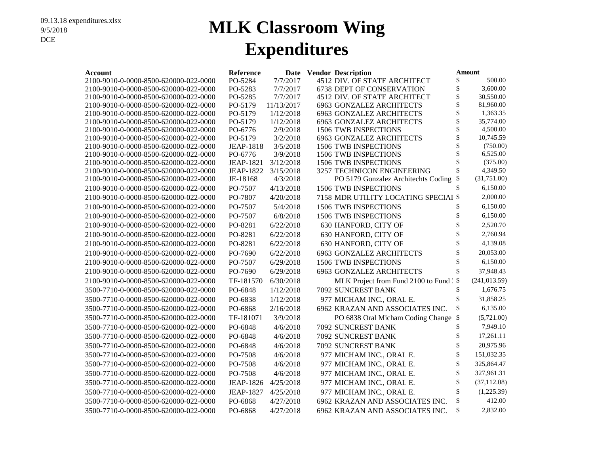## **MLK Classroom Wing Expenditures**

| Account                                                                        | <b>Reference</b>            |                       | Date Vendor Description |                                              | Amount   |                      |
|--------------------------------------------------------------------------------|-----------------------------|-----------------------|-------------------------|----------------------------------------------|----------|----------------------|
| 2100-9010-0-0000-8500-620000-022-0000                                          | PO-5284                     | 7/7/2017              |                         | 4512 DIV. OF STATE ARCHITECT                 | \$       | 500.00               |
| 2100-9010-0-0000-8500-620000-022-0000                                          | PO-5283                     | 7/7/2017              |                         | 6738 DEPT OF CONSERVATION                    | \$       | 3,600.00             |
| 2100-9010-0-0000-8500-620000-022-0000                                          | PO-5285                     | 7/7/2017              |                         | 4512 DIV. OF STATE ARCHITECT                 | \$       | 30,550.00            |
| 2100-9010-0-0000-8500-620000-022-0000                                          | PO-5179                     | 11/13/2017            |                         | 6963 GONZALEZ ARCHITECTS                     | \$       | 81,960.00            |
| 2100-9010-0-0000-8500-620000-022-0000                                          | PO-5179                     | 1/12/2018             |                         | <b>6963 GONZALEZ ARCHITECTS</b>              | \$       | 1,363.35             |
| 2100-9010-0-0000-8500-620000-022-0000                                          | PO-5179                     | 1/12/2018             |                         | <b>6963 GONZALEZ ARCHITECTS</b>              | \$       | 35,774.00            |
| 2100-9010-0-0000-8500-620000-022-0000                                          | PO-6776                     | 2/9/2018              |                         | 1506 TWB INSPECTIONS                         | \$       | 4,500.00             |
| 2100-9010-0-0000-8500-620000-022-0000                                          | PO-5179                     | 3/2/2018              |                         | 6963 GONZALEZ ARCHITECTS                     | \$<br>\$ | 10,745.59            |
| 2100-9010-0-0000-8500-620000-022-0000                                          | <b>JEAP-1818</b>            | 3/5/2018              |                         | 1506 TWB INSPECTIONS                         | \$       | (750.00)<br>6,525.00 |
| 2100-9010-0-0000-8500-620000-022-0000                                          | PO-6776<br><b>JEAP-1821</b> | 3/9/2018<br>3/12/2018 |                         | 1506 TWB INSPECTIONS<br>1506 TWB INSPECTIONS | \$       | (375.00)             |
| 2100-9010-0-0000-8500-620000-022-0000<br>2100-9010-0-0000-8500-620000-022-0000 | <b>JEAP-1822</b>            | 3/15/2018             |                         | 3257 TECHNICON ENGINEERING                   | \$       | 4,349.50             |
| 2100-9010-0-0000-8500-620000-022-0000                                          | JE-18168                    | 4/3/2018              |                         | PO 5179 Gonzalez Architechts Coding          | \$       | (31,751.00)          |
| 2100-9010-0-0000-8500-620000-022-0000                                          | PO-7507                     | 4/13/2018             |                         | 1506 TWB INSPECTIONS                         | \$       | 6,150.00             |
| 2100-9010-0-0000-8500-620000-022-0000                                          | PO-7807                     | 4/20/2018             |                         | 7158 MDR UTILITY LOCATING SPECIAI \$         |          | 2,000.00             |
| 2100-9010-0-0000-8500-620000-022-0000                                          | PO-7507                     | 5/4/2018              |                         | 1506 TWB INSPECTIONS                         | \$       | 6,150.00             |
|                                                                                | PO-7507                     | 6/8/2018              |                         | 1506 TWB INSPECTIONS                         | \$       | 6,150.00             |
| 2100-9010-0-0000-8500-620000-022-0000                                          |                             |                       |                         |                                              | \$       | 2,520.70             |
| 2100-9010-0-0000-8500-620000-022-0000                                          | PO-8281                     | 6/22/2018             |                         | 630 HANFORD, CITY OF                         |          |                      |
| 2100-9010-0-0000-8500-620000-022-0000                                          | PO-8281                     | 6/22/2018             |                         | 630 HANFORD, CITY OF                         | \$       | 2,760.94             |
| 2100-9010-0-0000-8500-620000-022-0000                                          | PO-8281                     | 6/22/2018             |                         | 630 HANFORD, CITY OF                         | \$       | 4,139.08             |
| 2100-9010-0-0000-8500-620000-022-0000                                          | PO-7690                     | 6/22/2018             |                         | <b>6963 GONZALEZ ARCHITECTS</b>              | \$       | 20,053.00            |
| 2100-9010-0-0000-8500-620000-022-0000                                          | PO-7507                     | 6/29/2018             |                         | <b>1506 TWB INSPECTIONS</b>                  | \$       | 6,150.00             |
| 2100-9010-0-0000-8500-620000-022-0000                                          | PO-7690                     | 6/29/2018             |                         | <b>6963 GONZALEZ ARCHITECTS</b>              | \$       | 37,948.43            |
| 2100-9010-0-0000-8500-620000-022-0000                                          | TF-181570                   | 6/30/2018             |                         | MLK Project from Fund 2100 to Fund . \$      |          | (241, 013.59)        |
| 3500-7710-0-0000-8500-620000-022-0000                                          | PO-6848                     | 1/12/2018             |                         | 7092 SUNCREST BANK                           | \$       | 1,676.75             |
| 3500-7710-0-0000-8500-620000-022-0000                                          | PO-6838                     | 1/12/2018             |                         | 977 MICHAM INC., ORAL E.                     | \$       | 31,858.25            |
| 3500-7710-0-0000-8500-620000-022-0000                                          | PO-6868                     | 2/16/2018             |                         | 6962 KRAZAN AND ASSOCIATES INC.              | \$       | 6,135.00             |
| 3500-7710-0-0000-8500-620000-022-0000                                          | TF-181071                   | 3/9/2018              |                         | PO 6838 Oral Micham Coding Change            | \$       | (5,721.00)           |
| 3500-7710-0-0000-8500-620000-022-0000                                          | PO-6848                     | 4/6/2018              |                         | 7092 SUNCREST BANK                           | \$       | 7,949.10             |
| 3500-7710-0-0000-8500-620000-022-0000                                          | PO-6848                     | 4/6/2018              |                         | 7092 SUNCREST BANK                           | \$       | 17,261.11            |
| 3500-7710-0-0000-8500-620000-022-0000                                          | PO-6848                     | 4/6/2018              |                         | 7092 SUNCREST BANK                           | \$       | 20,975.96            |
| 3500-7710-0-0000-8500-620000-022-0000                                          | PO-7508                     | 4/6/2018              |                         | 977 MICHAM INC., ORAL E.                     | \$       | 151,032.35           |
| 3500-7710-0-0000-8500-620000-022-0000                                          | PO-7508                     | 4/6/2018              |                         | 977 MICHAM INC., ORAL E.                     | \$       | 325,864.47           |
| 3500-7710-0-0000-8500-620000-022-0000                                          | PO-7508                     | 4/6/2018              |                         | 977 MICHAM INC., ORAL E.                     | \$       | 327,961.31           |
| 3500-7710-0-0000-8500-620000-022-0000                                          | <b>JEAP-1826</b>            | 4/25/2018             |                         | 977 MICHAM INC., ORAL E.                     | \$       | (37, 112.08)         |
| 3500-7710-0-0000-8500-620000-022-0000                                          | <b>JEAP-1827</b>            | 4/25/2018             |                         | 977 MICHAM INC., ORAL E.                     | \$       | (1,225.39)           |
| 3500-7710-0-0000-8500-620000-022-0000                                          | PO-6868                     | 4/27/2018             |                         | 6962 KRAZAN AND ASSOCIATES INC.              | \$       | 412.00               |
| 3500-7710-0-0000-8500-620000-022-0000                                          | PO-6868                     | 4/27/2018             |                         | 6962 KRAZAN AND ASSOCIATES INC.              | \$       | 2,832.00             |
|                                                                                |                             |                       |                         |                                              |          |                      |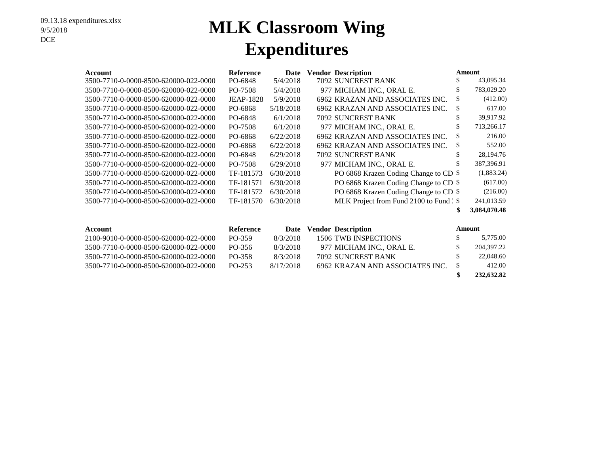## **MLK Classroom Wing Expenditures**

| Account                               | <b>Reference</b> | Date      | <b>Vendor Description</b>               | Amount        |              |
|---------------------------------------|------------------|-----------|-----------------------------------------|---------------|--------------|
| 3500-7710-0-0000-8500-620000-022-0000 | PO-6848          | 5/4/2018  | 7092 SUNCREST BANK                      | \$            | 43,095.34    |
| 3500-7710-0-0000-8500-620000-022-0000 | PO-7508          | 5/4/2018  | 977 MICHAM INC., ORAL E.                | \$            | 783,029.20   |
| 3500-7710-0-0000-8500-620000-022-0000 | <b>JEAP-1828</b> | 5/9/2018  | 6962 KRAZAN AND ASSOCIATES INC.         | \$            | (412.00)     |
| 3500-7710-0-0000-8500-620000-022-0000 | PO-6868          | 5/18/2018 | 6962 KRAZAN AND ASSOCIATES INC.         | \$            | 617.00       |
| 3500-7710-0-0000-8500-620000-022-0000 | PO-6848          | 6/1/2018  | 7092 SUNCREST BANK                      | \$            | 39,917.92    |
| 3500-7710-0-0000-8500-620000-022-0000 | PO-7508          | 6/1/2018  | 977 MICHAM INC., ORAL E.                | \$            | 713,266.17   |
| 3500-7710-0-0000-8500-620000-022-0000 | PO-6868          | 6/22/2018 | 6962 KRAZAN AND ASSOCIATES INC.         | \$            | 216.00       |
| 3500-7710-0-0000-8500-620000-022-0000 | PO-6868          | 6/22/2018 | 6962 KRAZAN AND ASSOCIATES INC.         | \$            | 552.00       |
| 3500-7710-0-0000-8500-620000-022-0000 | PO-6848          | 6/29/2018 | <b>7092 SUNCREST BANK</b>               | \$            | 28,194.76    |
| 3500-7710-0-0000-8500-620000-022-0000 | PO-7508          | 6/29/2018 | 977 MICHAM INC., ORAL E.                |               | 387,396.91   |
| 3500-7710-0-0000-8500-620000-022-0000 | TF-181573        | 6/30/2018 | PO 6868 Krazen Coding Change to CD \$   |               | (1,883.24)   |
| 3500-7710-0-0000-8500-620000-022-0000 | TF-181571        | 6/30/2018 | PO 6868 Krazen Coding Change to CD \$   |               | (617.00)     |
| 3500-7710-0-0000-8500-620000-022-0000 | TF-181572        | 6/30/2018 | PO 6868 Krazen Coding Change to CD \$   |               | (216.00)     |
| 3500-7710-0-0000-8500-620000-022-0000 | TF-181570        | 6/30/2018 | MLK Project from Fund 2100 to Fund : \$ |               | 241,013.59   |
|                                       |                  |           |                                         | \$            | 3,084,070.48 |
|                                       |                  |           |                                         |               |              |
| <b>Account</b>                        | <b>Reference</b> | Date      | <b>Vendor Description</b>               | <b>Amount</b> |              |
| 2100-9010-0-0000-8500-620000-022-0000 | PO-359           | 8/3/2018  | 1506 TWB INSPECTIONS                    | \$            | 5,775.00     |
| 3500-7710-0-0000-8500-620000-022-0000 | PO-356           | 8/3/2018  | 977 MICHAM INC., ORAL E.                | \$            | 204,397.22   |
| 3500-7710-0-0000-8500-620000-022-0000 | PO-358           | 8/3/2018  | 7092 SUNCREST BANK                      | \$            | 22,048.60    |

3500-7710-0-0000-8500-620000-022-0000 PO-253 8/17/2018 6962 KRAZAN AND ASSOCIATES INC. \$ 412.00

**\$ 232,632.82**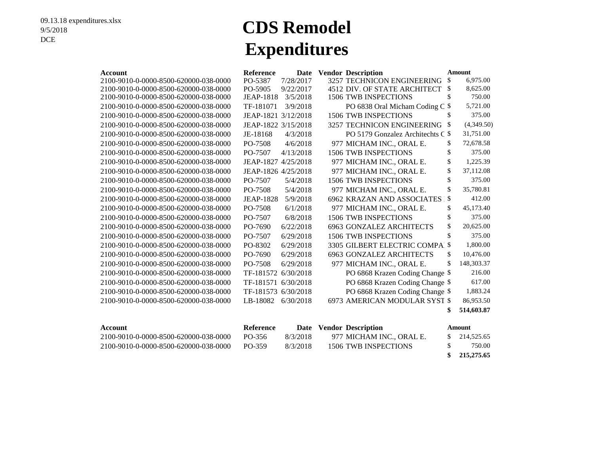# **CDS Remodel Expenditures**

| Account                               | Reference           | Date      | <b>Vendor Description</b>         | <b>Amount</b> |            |
|---------------------------------------|---------------------|-----------|-----------------------------------|---------------|------------|
| 2100-9010-0-0000-8500-620000-038-0000 | PO-5387             | 7/28/2017 | 3257 TECHNICON ENGINEERING        | \$            | 6.975.00   |
| 2100-9010-0-0000-8500-620000-038-0000 | PO-5905             | 9/22/2017 | 4512 DIV. OF STATE ARCHITECT      | \$            | 8,625.00   |
| 2100-9010-0-0000-8500-620000-038-0000 | <b>JEAP-1818</b>    | 3/5/2018  | 1506 TWB INSPECTIONS              | \$            | 750.00     |
| 2100-9010-0-0000-8500-620000-038-0000 | TF-181071           | 3/9/2018  | PO 6838 Oral Micham Coding C \$   |               | 5,721.00   |
| 2100-9010-0-0000-8500-620000-038-0000 | JEAP-1821 3/12/2018 |           | <b>1506 TWB INSPECTIONS</b>       | \$            | 375.00     |
| 2100-9010-0-0000-8500-620000-038-0000 | JEAP-1822 3/15/2018 |           | 3257 TECHNICON ENGINEERING        | \$            | (4,349.50) |
| 2100-9010-0-0000-8500-620000-038-0000 | JE-18168            | 4/3/2018  | PO 5179 Gonzalez Architechts C \$ |               | 31,751.00  |
| 2100-9010-0-0000-8500-620000-038-0000 | PO-7508             | 4/6/2018  | 977 MICHAM INC., ORAL E.          | \$            | 72,678.58  |
| 2100-9010-0-0000-8500-620000-038-0000 | PO-7507             | 4/13/2018 | 1506 TWB INSPECTIONS              | \$            | 375.00     |
| 2100-9010-0-0000-8500-620000-038-0000 | JEAP-1827 4/25/2018 |           | 977 MICHAM INC., ORAL E.          | \$            | 1,225.39   |
| 2100-9010-0-0000-8500-620000-038-0000 | JEAP-1826 4/25/2018 |           | 977 MICHAM INC., ORAL E.          | \$            | 37,112.08  |
| 2100-9010-0-0000-8500-620000-038-0000 | PO-7507             | 5/4/2018  | 1506 TWB INSPECTIONS              | \$            | 375.00     |
| 2100-9010-0-0000-8500-620000-038-0000 | PO-7508             | 5/4/2018  | 977 MICHAM INC., ORAL E.          | \$            | 35,780.81  |
| 2100-9010-0-0000-8500-620000-038-0000 | <b>JEAP-1828</b>    | 5/9/2018  | 6962 KRAZAN AND ASSOCIATES I      | $\mathcal{S}$ | 412.00     |
| 2100-9010-0-0000-8500-620000-038-0000 | PO-7508             | 6/1/2018  | 977 MICHAM INC., ORAL E.          | \$            | 45,173.40  |
| 2100-9010-0-0000-8500-620000-038-0000 | PO-7507             | 6/8/2018  | <b>1506 TWB INSPECTIONS</b>       | \$            | 375.00     |
| 2100-9010-0-0000-8500-620000-038-0000 | PO-7690             | 6/22/2018 | <b>6963 GONZALEZ ARCHITECTS</b>   | \$            | 20,625.00  |
| 2100-9010-0-0000-8500-620000-038-0000 | PO-7507             | 6/29/2018 | <b>1506 TWB INSPECTIONS</b>       | \$            | 375.00     |
| 2100-9010-0-0000-8500-620000-038-0000 | PO-8302             | 6/29/2018 | 3305 GILBERT ELECTRIC COMPAI      | \$            | 1,800.00   |
| 2100-9010-0-0000-8500-620000-038-0000 | PO-7690             | 6/29/2018 | <b>6963 GONZALEZ ARCHITECTS</b>   | \$            | 10,476.00  |
| 2100-9010-0-0000-8500-620000-038-0000 | PO-7508             | 6/29/2018 | 977 MICHAM INC., ORAL E.          | \$            | 148,303.37 |
| 2100-9010-0-0000-8500-620000-038-0000 | TF-181572 6/30/2018 |           | PO 6868 Krazen Coding Change \$   |               | 216.00     |
| 2100-9010-0-0000-8500-620000-038-0000 | TF-181571 6/30/2018 |           | PO 6868 Krazen Coding Change \$   |               | 617.00     |
| 2100-9010-0-0000-8500-620000-038-0000 | TF-181573 6/30/2018 |           | PO 6868 Krazen Coding Change \$   |               | 1,883.24   |
| 2100-9010-0-0000-8500-620000-038-0000 | LB-18082            | 6/30/2018 | 6973 AMERICAN MODULAR SYST \$     |               | 86,953.50  |
|                                       |                     |           |                                   | \$            | 514,603.87 |
|                                       |                     |           |                                   |               |            |
|                                       |                     |           |                                   |               |            |

| Account                                | Reference |          | Date Vendor Description  | Amount                                 |
|----------------------------------------|-----------|----------|--------------------------|----------------------------------------|
| 2100-9010-0-0000-8500-620000-038-0000- | PO-356    | 8/3/2018 | 977 MICHAM INC., ORAL E. | 214,525.65                             |
| 2100-9010-0-0000-8500-620000-038-0000- | PO-359    | 8/3/2018 | 1506 TWB INSPECTIONS     | 750.00                                 |
|                                        |           |          |                          | $A \times B$ $A \times B$ $A \times B$ |

 **\$ 215,275.65**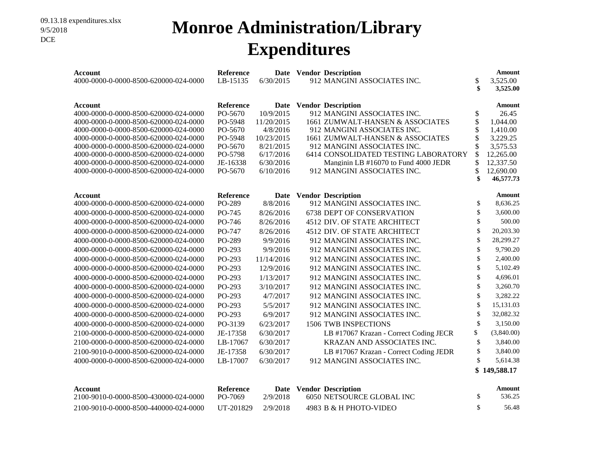#### **Monroe Administration/Library Expenditures**

| Account<br>4000-0000-0-0000-8500-620000-024-0000        | Reference<br>LB-15135 | 6/30/2015                | Date Vendor Description<br>912 MANGINI ASSOCIATES INC.   | \$<br>\$ | Amount<br>3,525.00<br>3,525.00 |
|---------------------------------------------------------|-----------------------|--------------------------|----------------------------------------------------------|----------|--------------------------------|
|                                                         |                       |                          |                                                          |          |                                |
| <b>Account</b><br>4000-0000-0-0000-8500-620000-024-0000 | Reference<br>PO-5670  | <b>Date</b><br>10/9/2015 | <b>Vendor Description</b><br>912 MANGINI ASSOCIATES INC. | \$       | <b>Amount</b><br>26.45         |
| 4000-0000-0-0000-8500-620000-024-0000                   | PO-5948               | 11/20/2015               | 1661 ZUMWALT-HANSEN & ASSOCIATES                         | \$       | 1,044.00                       |
| 4000-0000-0-0000-8500-620000-024-0000                   | PO-5670               | 4/8/2016                 | 912 MANGINI ASSOCIATES INC.                              | \$       | 1,410.00                       |
| 4000-0000-0-0000-8500-620000-024-0000                   | PO-5948               | 10/23/2015               | 1661 ZUMWALT-HANSEN & ASSOCIATES                         |          | 3,229.25                       |
| 4000-0000-0-0000-8500-620000-024-0000                   | PO-5670               | 8/21/2015                | 912 MANGINI ASSOCIATES INC.                              |          | 3,575.53                       |
| 4000-0000-0-0000-8500-620000-024-0000                   | PO-5798               | 6/17/2016                | 6414 CONSOLIDATED TESTING LABORATORY                     | \$       | 12,265.00                      |
| 4000-0000-0-0000-8500-620000-024-0000                   | JE-16338              | 6/30/2016                | Manginin LB #16070 to Fund 4000 JEDR                     |          | 12,337.50                      |
| 4000-0000-0-0000-8500-620000-024-0000                   | PO-5670               | 6/10/2016                | 912 MANGINI ASSOCIATES INC.                              | \$       | 12,690.00                      |
|                                                         |                       |                          |                                                          | \$       | 46,577.73                      |
| <b>Account</b>                                          | Reference             | Date                     | <b>Vendor Description</b>                                |          | Amount                         |
| 4000-0000-0-0000-8500-620000-024-0000                   | PO-289                | 8/8/2016                 | 912 MANGINI ASSOCIATES INC.                              | \$       | 8,636.25                       |
| 4000-0000-0-0000-8500-620000-024-0000                   | PO-745                | 8/26/2016                | 6738 DEPT OF CONSERVATION                                | \$       | 3,600.00                       |
| 4000-0000-0-0000-8500-620000-024-0000                   | PO-746                | 8/26/2016                | 4512 DIV. OF STATE ARCHITECT                             | \$       | 500.00                         |
| 4000-0000-0-0000-8500-620000-024-0000                   | PO-747                | 8/26/2016                | 4512 DIV. OF STATE ARCHITECT                             | \$       | 20,203.30                      |
| 4000-0000-0-0000-8500-620000-024-0000                   | PO-289                | 9/9/2016                 | 912 MANGINI ASSOCIATES INC.                              | \$       | 28,299.27                      |
| 4000-0000-0-0000-8500-620000-024-0000                   | PO-293                | 9/9/2016                 | 912 MANGINI ASSOCIATES INC.                              | \$       | 9,790.20                       |
| 4000-0000-0-0000-8500-620000-024-0000                   | PO-293                | 11/14/2016               | 912 MANGINI ASSOCIATES INC.                              | \$       | 2,400.00                       |
| 4000-0000-0-0000-8500-620000-024-0000                   | PO-293                | 12/9/2016                | 912 MANGINI ASSOCIATES INC.                              | \$       | 5,102.49                       |
| 4000-0000-0-0000-8500-620000-024-0000                   | PO-293                | 1/13/2017                | 912 MANGINI ASSOCIATES INC.                              | \$       | 4,696.01                       |
| 4000-0000-0-0000-8500-620000-024-0000                   | PO-293                | 3/10/2017                | 912 MANGINI ASSOCIATES INC.                              | \$       | 3,260.70                       |
| 4000-0000-0-0000-8500-620000-024-0000                   | PO-293                | 4/7/2017                 | 912 MANGINI ASSOCIATES INC.                              | \$       | 3,282.22                       |
| 4000-0000-0-0000-8500-620000-024-0000                   | PO-293                | 5/5/2017                 | 912 MANGINI ASSOCIATES INC.                              | \$       | 15,131.03                      |
| 4000-0000-0-0000-8500-620000-024-0000                   | PO-293                | 6/9/2017                 | 912 MANGINI ASSOCIATES INC.                              | \$       | 32,082.32                      |
| 4000-0000-0-0000-8500-620000-024-0000                   | PO-3139               | 6/23/2017                | <b>1506 TWB INSPECTIONS</b>                              | \$       | 3,150.00                       |
| 2100-0000-0-0000-8500-620000-024-0000                   | JE-17358              | 6/30/2017                | LB #17067 Krazan - Correct Coding JECR                   | \$       | (3,840.00)                     |
| 2100-0000-0-0000-8500-620000-024-0000                   | LB-17067              | 6/30/2017                | KRAZAN AND ASSOCIATES INC.                               | \$       | 3,840.00                       |
| 2100-9010-0-0000-8500-620000-024-0000                   | JE-17358              | 6/30/2017                | LB #17067 Krazan - Correct Coding JEDR                   | \$       | 3,840.00                       |
| 4000-0000-0-0000-8500-620000-024-0000                   | LB-17007              | 6/30/2017                | 912 MANGINI ASSOCIATES INC.                              | \$       | 5,614.38                       |
|                                                         |                       |                          |                                                          | \$       | 149,588.17                     |
|                                                         |                       |                          |                                                          |          |                                |
| <b>Account</b><br>2100-9010-0-0000-8500-430000-024-0000 | Reference<br>PO-7069  | 2/9/2018                 | Date Vendor Description<br>6050 NETSOURCE GLOBAL INC     | \$       | Amount<br>536.25               |

2100-9010-0-0000-8500-440000-024-0000 UT-201829 2/9/2018 4983 B & H PHOTO-VIDEO \$ 56.48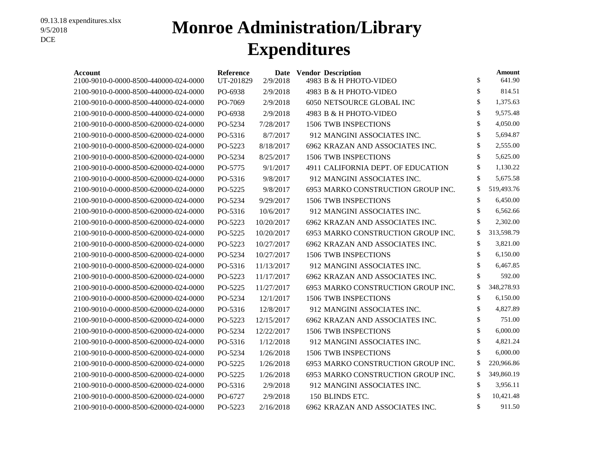## **Monroe Administration/Library Expenditures**

| Account<br>2100-9010-0-0000-8500-440000-024-0000 | <b>Reference</b><br>UT-201829 | 2/9/2018   | Date Vendor Description<br>4983 B & H PHOTO-VIDEO | \$<br>Amount<br>641.90 |
|--------------------------------------------------|-------------------------------|------------|---------------------------------------------------|------------------------|
| 2100-9010-0-0000-8500-440000-024-0000            | PO-6938                       | 2/9/2018   | 4983 B & H PHOTO-VIDEO                            | \$<br>814.51           |
| 2100-9010-0-0000-8500-440000-024-0000            | PO-7069                       | 2/9/2018   | 6050 NETSOURCE GLOBAL INC                         | \$<br>1,375.63         |
| 2100-9010-0-0000-8500-440000-024-0000            | PO-6938                       | 2/9/2018   | 4983 B & H PHOTO-VIDEO                            | \$<br>9,575.48         |
| 2100-9010-0-0000-8500-620000-024-0000            | PO-5234                       | 7/28/2017  | 1506 TWB INSPECTIONS                              | \$<br>4,050.00         |
| 2100-9010-0-0000-8500-620000-024-0000            | PO-5316                       | 8/7/2017   | 912 MANGINI ASSOCIATES INC.                       | \$<br>5,694.87         |
| 2100-9010-0-0000-8500-620000-024-0000            | PO-5223                       | 8/18/2017  | 6962 KRAZAN AND ASSOCIATES INC.                   | \$<br>2,555.00         |
| 2100-9010-0-0000-8500-620000-024-0000            | PO-5234                       | 8/25/2017  | <b>1506 TWB INSPECTIONS</b>                       | \$<br>5,625.00         |
| 2100-9010-0-0000-8500-620000-024-0000            | PO-5775                       | 9/1/2017   | 4911 CALIFORNIA DEPT. OF EDUCATION                | \$<br>1,130.22         |
| 2100-9010-0-0000-8500-620000-024-0000            | PO-5316                       | 9/8/2017   | 912 MANGINI ASSOCIATES INC.                       | \$<br>5,675.58         |
| 2100-9010-0-0000-8500-620000-024-0000            | PO-5225                       | 9/8/2017   | 6953 MARKO CONSTRUCTION GROUP INC.                | \$<br>519,493.76       |
| 2100-9010-0-0000-8500-620000-024-0000            | PO-5234                       | 9/29/2017  | <b>1506 TWB INSPECTIONS</b>                       | \$<br>6,450.00         |
| 2100-9010-0-0000-8500-620000-024-0000            | PO-5316                       | 10/6/2017  | 912 MANGINI ASSOCIATES INC.                       | \$<br>6,562.66         |
| 2100-9010-0-0000-8500-620000-024-0000            | PO-5223                       | 10/20/2017 | 6962 KRAZAN AND ASSOCIATES INC.                   | \$<br>2,302.00         |
| 2100-9010-0-0000-8500-620000-024-0000            | PO-5225                       | 10/20/2017 | 6953 MARKO CONSTRUCTION GROUP INC.                | \$<br>313,598.79       |
| 2100-9010-0-0000-8500-620000-024-0000            | PO-5223                       | 10/27/2017 | 6962 KRAZAN AND ASSOCIATES INC.                   | \$<br>3,821.00         |
| 2100-9010-0-0000-8500-620000-024-0000            | PO-5234                       | 10/27/2017 | 1506 TWB INSPECTIONS                              | \$<br>6,150.00         |
| 2100-9010-0-0000-8500-620000-024-0000            | PO-5316                       | 11/13/2017 | 912 MANGINI ASSOCIATES INC.                       | \$<br>6,467.85         |
| 2100-9010-0-0000-8500-620000-024-0000            | PO-5223                       | 11/17/2017 | 6962 KRAZAN AND ASSOCIATES INC.                   | \$<br>592.00           |
| 2100-9010-0-0000-8500-620000-024-0000            | PO-5225                       | 11/27/2017 | 6953 MARKO CONSTRUCTION GROUP INC.                | \$<br>348,278.93       |
| 2100-9010-0-0000-8500-620000-024-0000            | PO-5234                       | 12/1/2017  | <b>1506 TWB INSPECTIONS</b>                       | \$<br>6,150.00         |
| 2100-9010-0-0000-8500-620000-024-0000            | PO-5316                       | 12/8/2017  | 912 MANGINI ASSOCIATES INC.                       | \$<br>4,827.89         |
| 2100-9010-0-0000-8500-620000-024-0000            | PO-5223                       | 12/15/2017 | 6962 KRAZAN AND ASSOCIATES INC.                   | \$<br>751.00           |
| 2100-9010-0-0000-8500-620000-024-0000            | PO-5234                       | 12/22/2017 | <b>1506 TWB INSPECTIONS</b>                       | \$<br>6,000.00         |
| 2100-9010-0-0000-8500-620000-024-0000            | PO-5316                       | 1/12/2018  | 912 MANGINI ASSOCIATES INC.                       | \$<br>4,821.24         |
| 2100-9010-0-0000-8500-620000-024-0000            | PO-5234                       | 1/26/2018  | <b>1506 TWB INSPECTIONS</b>                       | \$<br>6,000.00         |
| 2100-9010-0-0000-8500-620000-024-0000            | PO-5225                       | 1/26/2018  | 6953 MARKO CONSTRUCTION GROUP INC.                | \$<br>220,966.86       |
| 2100-9010-0-0000-8500-620000-024-0000            | PO-5225                       | 1/26/2018  | 6953 MARKO CONSTRUCTION GROUP INC.                | \$<br>349,860.19       |
| 2100-9010-0-0000-8500-620000-024-0000            | PO-5316                       | 2/9/2018   | 912 MANGINI ASSOCIATES INC.                       | \$<br>3,956.11         |
| 2100-9010-0-0000-8500-620000-024-0000            | PO-6727                       | 2/9/2018   | 150 BLINDS ETC.                                   | \$<br>10,421.48        |
| 2100-9010-0-0000-8500-620000-024-0000            | PO-5223                       | 2/16/2018  | 6962 KRAZAN AND ASSOCIATES INC.                   | \$<br>911.50           |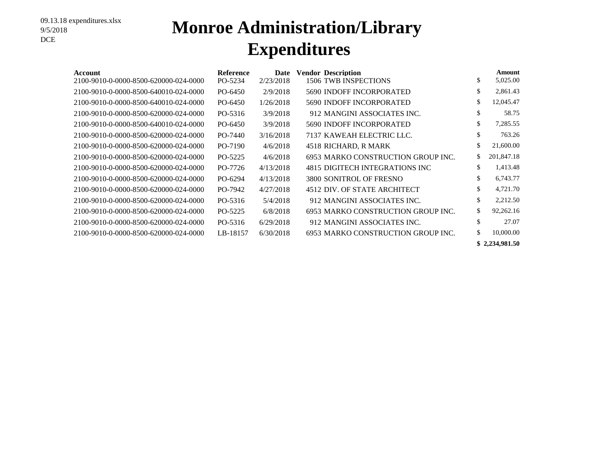## **Monroe Administration/Library Expenditures**

| Account                               | <b>Reference</b> | Date      | <b>Vendor Description</b>          | Amount           |
|---------------------------------------|------------------|-----------|------------------------------------|------------------|
| 2100-9010-0-0000-8500-620000-024-0000 | PO-5234          | 2/23/2018 | 1506 TWB INSPECTIONS               | \$<br>5,025.00   |
| 2100-9010-0-0000-8500-640010-024-0000 | PO-6450          | 2/9/2018  | <b>5690 INDOFF INCORPORATED</b>    | \$<br>2,861.43   |
| 2100-9010-0-0000-8500-640010-024-0000 | PO-6450          | 1/26/2018 | 5690 INDOFF INCORPORATED           | \$<br>12,045.47  |
| 2100-9010-0-0000-8500-620000-024-0000 | PO-5316          | 3/9/2018  | 912 MANGINI ASSOCIATES INC.        | \$<br>58.75      |
| 2100-9010-0-0000-8500-640010-024-0000 | PO-6450          | 3/9/2018  | 5690 INDOFF INCORPORATED           | \$<br>7,285.55   |
| 2100-9010-0-0000-8500-620000-024-0000 | PO-7440          | 3/16/2018 | 7137 KAWEAH ELECTRIC LLC.          | \$<br>763.26     |
| 2100-9010-0-0000-8500-620000-024-0000 | PO-7190          | 4/6/2018  | 4518 RICHARD, R MARK               | \$<br>21,600.00  |
| 2100-9010-0-0000-8500-620000-024-0000 | PO-5225          | 4/6/2018  | 6953 MARKO CONSTRUCTION GROUP INC. | \$<br>201,847.18 |
| 2100-9010-0-0000-8500-620000-024-0000 | PO-7726          | 4/13/2018 | 4815 DIGITECH INTEGRATIONS INC     | \$<br>1,413.48   |
| 2100-9010-0-0000-8500-620000-024-0000 | PO-6294          | 4/13/2018 | 3800 SONITROL OF FRESNO            | \$<br>6,743.77   |
| 2100-9010-0-0000-8500-620000-024-0000 | PO-7942          | 4/27/2018 | 4512 DIV. OF STATE ARCHITECT       | \$<br>4,721.70   |
| 2100-9010-0-0000-8500-620000-024-0000 | PO-5316          | 5/4/2018  | 912 MANGINI ASSOCIATES INC.        | \$<br>2,212.50   |
| 2100-9010-0-0000-8500-620000-024-0000 | PO-5225          | 6/8/2018  | 6953 MARKO CONSTRUCTION GROUP INC. | \$<br>92,262.16  |
| 2100-9010-0-0000-8500-620000-024-0000 | PO-5316          | 6/29/2018 | 912 MANGINI ASSOCIATES INC.        | \$<br>27.07      |
| 2100-9010-0-0000-8500-620000-024-0000 | LB-18157         | 6/30/2018 | 6953 MARKO CONSTRUCTION GROUP INC. | \$<br>10,000.00  |
|                                       |                  |           |                                    | \$2.234,981.50   |